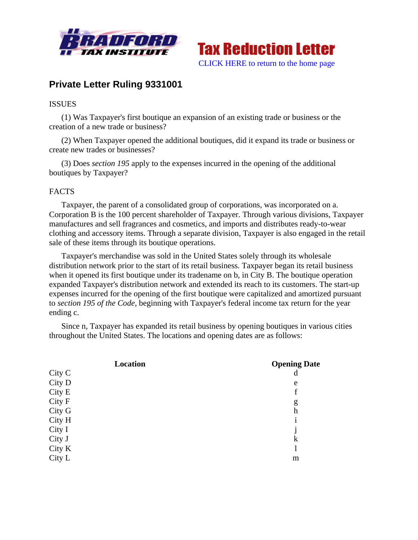



# **Private Letter Ruling 9331001**

# ISSUES

(1) Was Taxpayer's first boutique an expansion of an existing trade or business or the creation of a new trade or business?

(2) When Taxpayer opened the additional boutiques, did it expand its trade or business or create new trades or businesses?

(3) Does *section 195* apply to the expenses incurred in the opening of the additional boutiques by Taxpayer?

# FACTS

Taxpayer, the parent of a consolidated group of corporations, was incorporated on a. Corporation B is the 100 percent shareholder of Taxpayer. Through various divisions, Taxpayer manufactures and sell fragrances and cosmetics, and imports and distributes ready-to-wear clothing and accessory items. Through a separate division, Taxpayer is also engaged in the retail sale of these items through its boutique operations.

Taxpayer's merchandise was sold in the United States solely through its wholesale distribution network prior to the start of its retail business. Taxpayer began its retail business when it opened its first boutique under its tradename on b, in City B. The boutique operation expanded Taxpayer's distribution network and extended its reach to its customers. The start-up expenses incurred for the opening of the first boutique were capitalized and amortized pursuant to *section 195 of the Code*, beginning with Taxpayer's federal income tax return for the year ending c.

Since n, Taxpayer has expanded its retail business by opening boutiques in various cities throughout the United States. The locations and opening dates are as follows:

| Location | <b>Opening Date</b> |
|----------|---------------------|
| City C   | d                   |
| City D   | e                   |
| City E   | $\mathbf f$         |
| City F   | g                   |
| City G   | h                   |
| City H   |                     |
| City I   |                     |
| City J   | k                   |
| City K   |                     |
| City L   | m                   |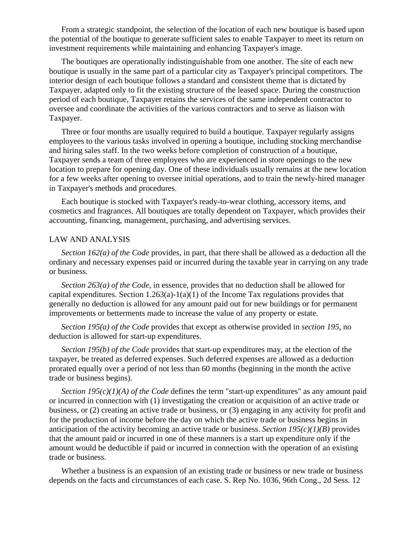From a strategic standpoint, the selection of the location of each new boutique is based upon the potential of the boutique to generate sufficient sales to enable Taxpayer to meet its return on investment requirements while maintaining and enhancing Taxpayer's image.

The boutiques are operationally indistinguishable from one another. The site of each new boutique is usually in the same part of a particular city as Taxpayer's principal competitors. The interior design of each boutique follows a standard and consistent theme that is dictated by Taxpayer, adapted only to fit the existing structure of the leased space. During the construction period of each boutique, Taxpayer retains the services of the same independent contractor to oversee and coordinate the activities of the various contractors and to serve as liaison with Taxpayer.

Three or four months are usually required to build a boutique. Taxpayer regularly assigns employees to the various tasks involved in opening a boutique, including stocking merchandise and hiring sales staff. In the two weeks before completion of construction of a boutique, Taxpayer sends a team of three employees who are experienced in store openings to the new location to prepare for opening day. One of these individuals usually remains at the new location for a few weeks after opening to oversee initial operations, and to train the newly-hired manager in Taxpayer's methods and procedures.

Each boutique is stocked with Taxpayer's ready-to-wear clothing, accessory items, and cosmetics and fragrances. All boutiques are totally dependent on Taxpayer, which provides their accounting, financing, management, purchasing, and advertising services.

#### LAW AND ANALYSIS

*Section 162(a) of the Code* provides, in part, that there shall be allowed as a deduction all the ordinary and necessary expenses paid or incurred during the taxable year in carrying on any trade or business.

*Section 263(a) of the Code*, in essence, provides that no deduction shall be allowed for capital expenditures. Section  $1.263(a)-1(a)(1)$  of the Income Tax regulations provides that generally no deduction is allowed for any amount paid out for new buildings or for permanent improvements or betterments made to increase the value of any property or estate.

*Section 195(a) of the Code* provides that except as otherwise provided in *section 195*, no deduction is allowed for start-up expenditures.

*Section 195(b) of the Code* provides that start-up expenditures may, at the election of the taxpayer, be treated as deferred expenses. Such deferred expenses are allowed as a deduction prorated equally over a period of not less than 60 months (beginning in the month the active trade or business begins).

*Section 195(c)(1)(A) of the Code* defines the term "start-up expenditures" as any amount paid or incurred in connection with (1) investigating the creation or acquisition of an active trade or business, or (2) creating an active trade or business, or (3) engaging in any activity for profit and for the production of income before the day on which the active trade or business begins in anticipation of the activity becoming an active trade or business. *Section 195(c)(1)(B)* provides that the amount paid or incurred in one of these manners is a start up expenditure only if the amount would be deductible if paid or incurred in connection with the operation of an existing trade or business.

Whether a business is an expansion of an existing trade or business or new trade or business depends on the facts and circumstances of each case. S. Rep No. 1036, 96th Cong., 2d Sess. 12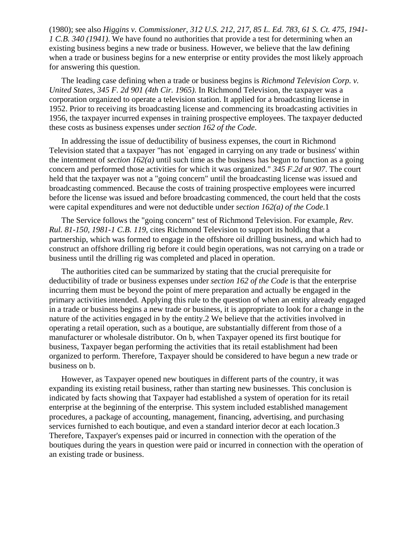(1980); see also *Higgins v. Commissioner, 312 U.S. 212, 217, 85 L. Ed. 783, 61 S. Ct. 475, 1941- 1 C.B. 340 (1941)*. We have found no authorities that provide a test for determining when an existing business begins a new trade or business. However, we believe that the law defining when a trade or business begins for a new enterprise or entity provides the most likely approach for answering this question.

The leading case defining when a trade or business begins is *Richmond Television Corp. v. United States, 345 F. 2d 901 (4th Cir. 1965)*. In Richmond Television, the taxpayer was a corporation organized to operate a television station. It applied for a broadcasting license in 1952. Prior to receiving its broadcasting license and commencing its broadcasting activities in 1956, the taxpayer incurred expenses in training prospective employees. The taxpayer deducted these costs as business expenses under *section 162 of the Code*.

In addressing the issue of deductibility of business expenses, the court in Richmond Television stated that a taxpayer "has not `engaged in carrying on any trade or business' within the intentment of *section 162(a)* until such time as the business has begun to function as a going concern and performed those activities for which it was organized." *345 F.2d at 907*. The court held that the taxpayer was not a "going concern" until the broadcasting license was issued and broadcasting commenced. Because the costs of training prospective employees were incurred before the license was issued and before broadcasting commenced, the court held that the costs were capital expenditures and were not deductible under *section 162(a) of the Code*.1

The Service follows the "going concern" test of Richmond Television. For example, *Rev. Rul. 81-150, 1981-1 C.B. 119*, cites Richmond Television to support its holding that a partnership, which was formed to engage in the offshore oil drilling business, and which had to construct an offshore drilling rig before it could begin operations, was not carrying on a trade or business until the drilling rig was completed and placed in operation.

The authorities cited can be summarized by stating that the crucial prerequisite for deductibility of trade or business expenses under *section 162 of the Code* is that the enterprise incurring them must be beyond the point of mere preparation and actually be engaged in the primary activities intended. Applying this rule to the question of when an entity already engaged in a trade or business begins a new trade or business, it is appropriate to look for a change in the nature of the activities engaged in by the entity.2 We believe that the activities involved in operating a retail operation, such as a boutique, are substantially different from those of a manufacturer or wholesale distributor. On b, when Taxpayer opened its first boutique for business, Taxpayer began performing the activities that its retail establishment had been organized to perform. Therefore, Taxpayer should be considered to have begun a new trade or business on b.

However, as Taxpayer opened new boutiques in different parts of the country, it was expanding its existing retail business, rather than starting new businesses. This conclusion is indicated by facts showing that Taxpayer had established a system of operation for its retail enterprise at the beginning of the enterprise. This system included established management procedures, a package of accounting, management, financing, advertising, and purchasing services furnished to each boutique, and even a standard interior decor at each location.3 Therefore, Taxpayer's expenses paid or incurred in connection with the operation of the boutiques during the years in question were paid or incurred in connection with the operation of an existing trade or business.